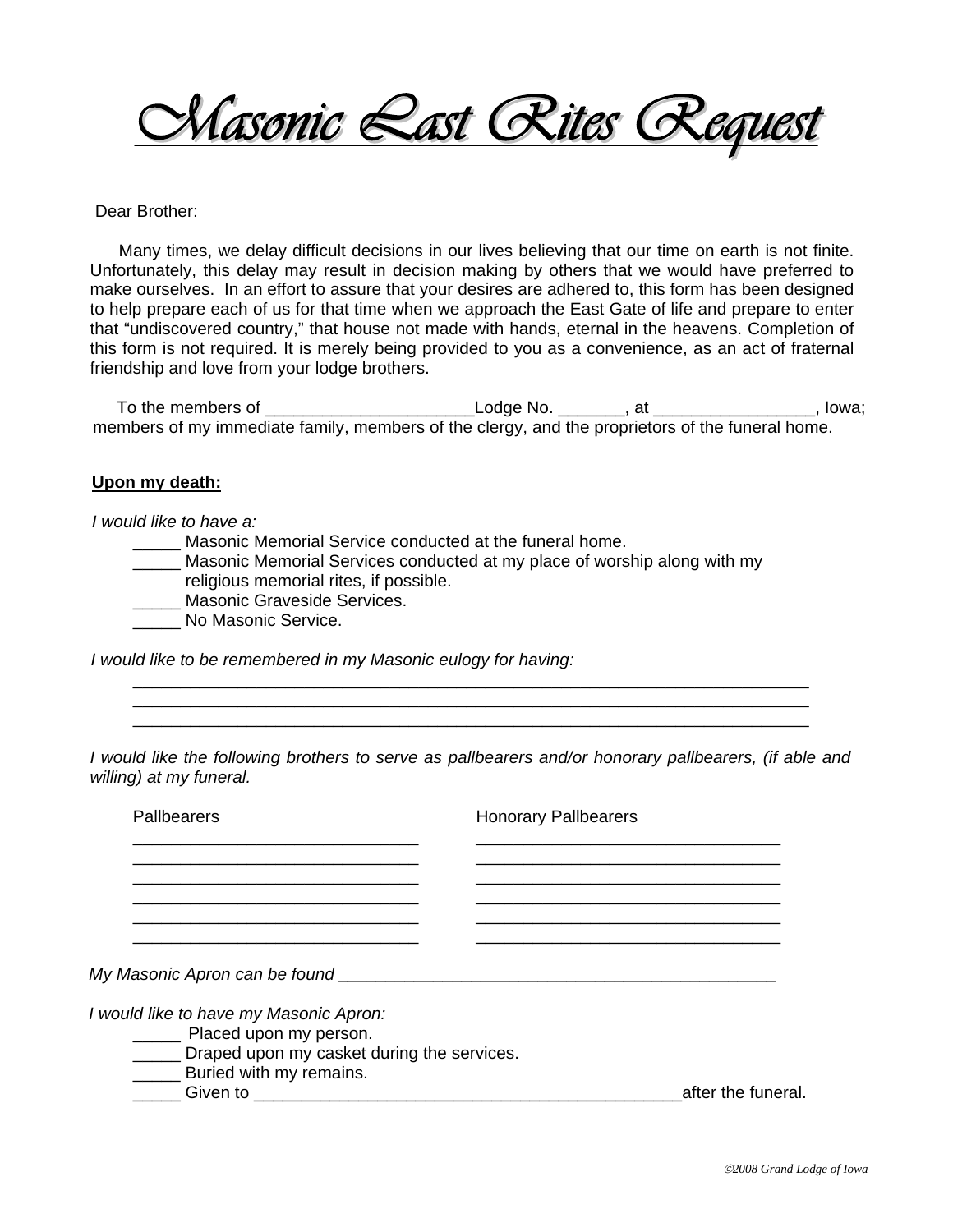

## Dear Brother:

 Many times, we delay difficult decisions in our lives believing that our time on earth is not finite. Unfortunately, this delay may result in decision making by others that we would have preferred to make ourselves. In an effort to assure that your desires are adhered to, this form has been designed to help prepare each of us for that time when we approach the East Gate of life and prepare to enter that "undiscovered country," that house not made with hands, eternal in the heavens. Completion of this form is not required. It is merely being provided to you as a convenience, as an act of fraternal friendship and love from your lodge brothers.

To the members of \_\_\_\_\_\_\_\_\_\_\_\_\_\_\_\_\_\_\_\_\_\_\_\_\_\_\_\_\_\_Lodge No. \_\_\_\_\_\_\_\_, at \_\_\_\_\_\_\_\_\_\_\_\_\_\_\_\_\_\_\_, lowa; members of my immediate family, members of the clergy, and the proprietors of the funeral home.

## **Upon my death:**

## *I would like to have a:*

- **Masonic Memorial Service conducted at the funeral home.**
- **\_\_\_\_\_** Masonic Memorial Services conducted at my place of worship along with my religious memorial rites, if possible.

 \_\_\_\_\_\_\_\_\_\_\_\_\_\_\_\_\_\_\_\_\_\_\_\_\_\_\_\_\_\_\_\_\_\_\_\_\_\_\_\_\_\_\_\_\_\_\_\_\_\_\_\_\_\_\_\_\_\_\_\_\_\_\_\_\_\_\_\_\_\_\_ \_\_\_\_\_\_\_\_\_\_\_\_\_\_\_\_\_\_\_\_\_\_\_\_\_\_\_\_\_\_\_\_\_\_\_\_\_\_\_\_\_\_\_\_\_\_\_\_\_\_\_\_\_\_\_\_\_\_\_\_\_\_\_\_\_\_\_\_\_\_\_ \_\_\_\_\_\_\_\_\_\_\_\_\_\_\_\_\_\_\_\_\_\_\_\_\_\_\_\_\_\_\_\_\_\_\_\_\_\_\_\_\_\_\_\_\_\_\_\_\_\_\_\_\_\_\_\_\_\_\_\_\_\_\_\_\_\_\_\_\_\_\_

- \_\_\_\_\_ Masonic Graveside Services.
- \_\_\_\_\_ No Masonic Service.

*I would like to be remembered in my Masonic eulogy for having:* 

*I* would like the following brothers to serve as pallbearers and/or honorary pallbearers, (if able and *willing) at my funeral.* 

| Pallbearers                                                            | <b>Honorary Pallbearers</b> |                    |
|------------------------------------------------------------------------|-----------------------------|--------------------|
|                                                                        |                             |                    |
|                                                                        |                             |                    |
|                                                                        |                             |                    |
| My Masonic Apron can be found                                          |                             |                    |
| I would like to have my Masonic Apron:                                 |                             |                    |
| Placed upon my person.                                                 |                             |                    |
| Draped upon my casket during the services.<br>$\overline{\phantom{a}}$ |                             |                    |
| __ Buried with my remains.                                             |                             |                    |
| <b>Given to</b>                                                        |                             | after the funeral. |